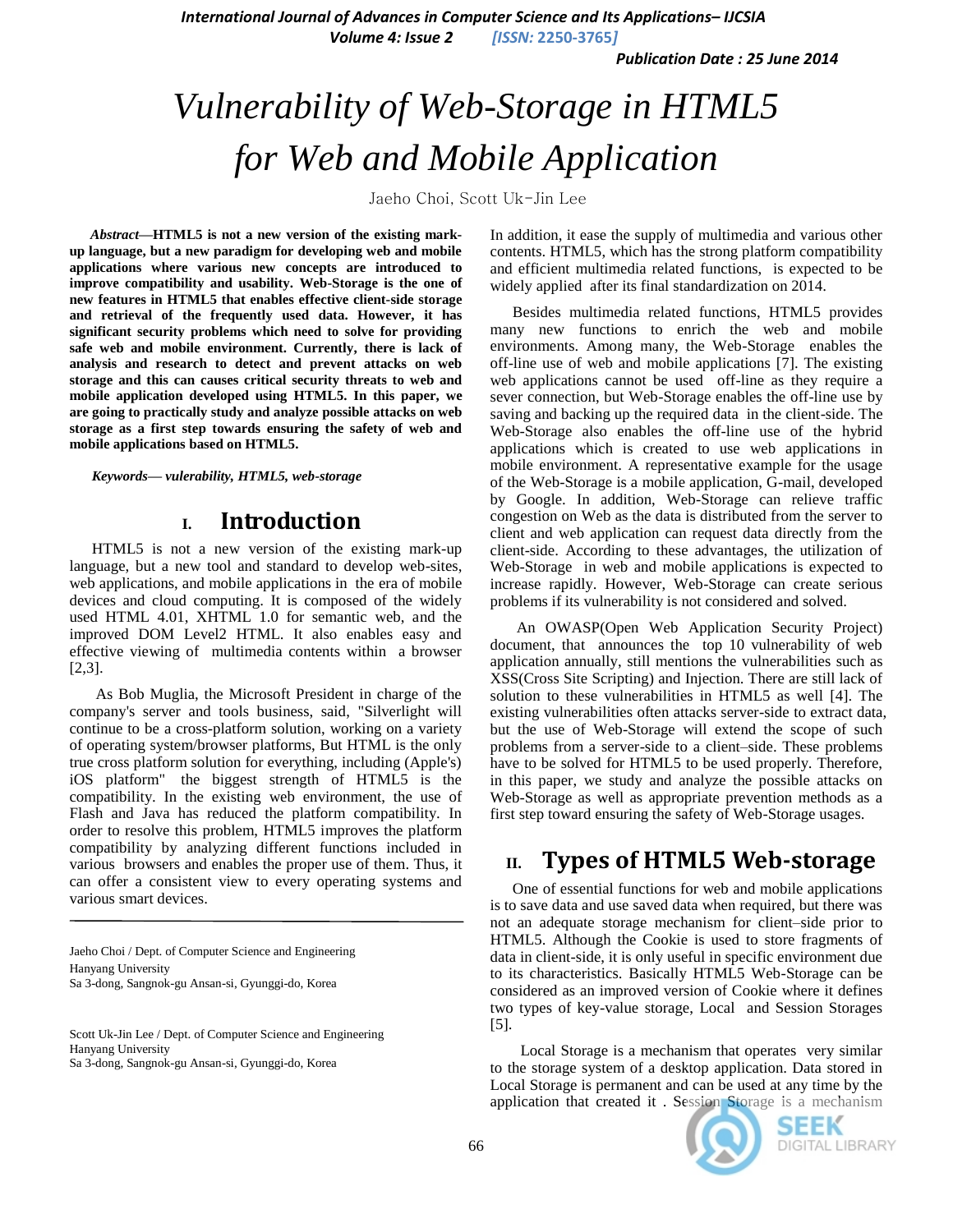*International Journal of Advances in Computer Science and Its Applications– IJCSIA*

*Volume 4: Issue 2 [ISSN:* **2250-3765***]*

*Publication Date : 25 June 2014*

# *Vulnerability of Web-Storage in HTML5 for Web and Mobile Application*

Jaeho Choi, Scott Uk-Jin Lee

*Abstract***—HTML5 is not a new version of the existing markup language, but a new paradigm for developing web and mobile applications where various new concepts are introduced to improve compatibility and usability. Web-Storage is the one of new features in HTML5 that enables effective client-side storage and retrieval of the frequently used data. However, it has significant security problems which need to solve for providing safe web and mobile environment. Currently, there is lack of analysis and research to detect and prevent attacks on web storage and this can causes critical security threats to web and mobile application developed using HTML5. In this paper, we are going to practically study and analyze possible attacks on web storage as a first step towards ensuring the safety of web and mobile applications based on HTML5.**

*Keywords— vulerability, HTML5, web-storage*

#### **I. Introduction**

HTML5 is not a new version of the existing mark-up language, but a new tool and standard to develop web-sites, web applications, and mobile applications in the era of mobile devices and cloud computing. It is composed of the widely used HTML 4.01, XHTML 1.0 for semantic web, and the improved DOM Level2 HTML. It also enables easy and effective viewing of multimedia contents within a browser [2,3].

As Bob Muglia, the Microsoft President in charge of the company's server and tools business, said, "Silverlight will continue to be a cross-platform solution, working on a variety of operating system/browser platforms, But HTML is the only true cross platform solution for everything, including (Apple's) iOS platform" the biggest strength of HTML5 is the compatibility. In the existing web environment, the use of Flash and Java has reduced the platform compatibility. In order to resolve this problem, HTML5 improves the platform compatibility by analyzing different functions included in various browsers and enables the proper use of them. Thus, it can offer a consistent view to every operating systems and various smart devices.

Jaeho Choi / Dept. of Computer Science and Engineering Hanyang University Sa 3-dong, Sangnok-gu Ansan-si, Gyunggi-do, Korea

Scott Uk-Jin Lee / Dept. of Computer Science and Engineering Hanyang University Sa 3-dong, Sangnok-gu Ansan-si, Gyunggi-do, Korea

In addition, it ease the supply of multimedia and various other contents. HTML5, which has the strong platform compatibility and efficient multimedia related functions, is expected to be widely applied after its final standardization on 2014.

Besides multimedia related functions, HTML5 provides many new functions to enrich the web and mobile environments. Among many, the Web-Storage enables the off-line use of web and mobile applications [7]. The existing web applications cannot be used off-line as they require a sever connection, but Web-Storage enables the off-line use by saving and backing up the required data in the client-side. The Web-Storage also enables the off-line use of the hybrid applications which is created to use web applications in mobile environment. A representative example for the usage of the Web-Storage is a mobile application, G-mail, developed by Google. In addition, Web-Storage can relieve traffic congestion on Web as the data is distributed from the server to client and web application can request data directly from the client-side. According to these advantages, the utilization of Web-Storage in web and mobile applications is expected to increase rapidly. However, Web-Storage can create serious problems if its vulnerability is not considered and solved.

An OWASP(Open Web Application Security Project) document, that announces the top 10 vulnerability of web application annually, still mentions the vulnerabilities such as XSS(Cross Site Scripting) and Injection. There are still lack of solution to these vulnerabilities in HTML5 as well [4]. The existing vulnerabilities often attacks server-side to extract data, but the use of Web-Storage will extend the scope of such problems from a server-side to a client–side. These problems have to be solved for HTML5 to be used properly. Therefore, in this paper, we study and analyze the possible attacks on Web-Storage as well as appropriate prevention methods as a first step toward ensuring the safety of Web-Storage usages.

### **II. Types of HTML5 Web-storage**

One of essential functions for web and mobile applications is to save data and use saved data when required, but there was not an adequate storage mechanism for client–side prior to HTML5. Although the Cookie is used to store fragments of data in client-side, it is only useful in specific environment due to its characteristics. Basically HTML5 Web-Storage can be considered as an improved version of Cookie where it defines two types of key-value storage, Local and Session Storages [5].

 Local Storage is a mechanism that operates very similar to the storage system of a desktop application. Data stored in Local Storage is permanent and can be used at any time by the application that created it . Session Storage is a mechanism



SEEK DIGITAL LIBRARY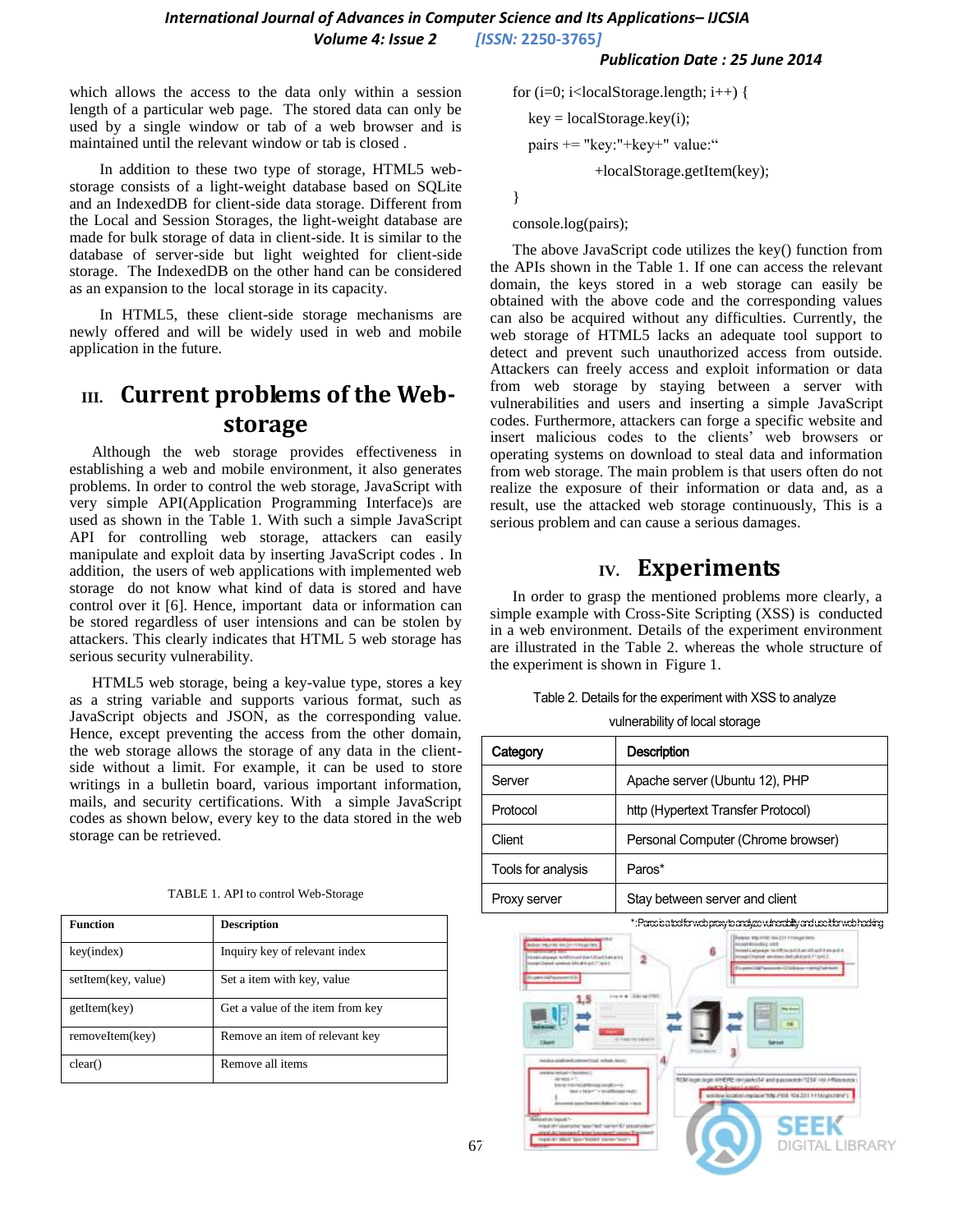*Publication Date : 25 June 2014*

which allows the access to the data only within a session length of a particular web page. The stored data can only be used by a single window or tab of a web browser and is maintained until the relevant window or tab is closed .

 In addition to these two type of storage, HTML5 webstorage consists of a light-weight database based on SQLite and an IndexedDB for client-side data storage. Different from the Local and Session Storages, the light-weight database are made for bulk storage of data in client-side. It is similar to the database of server-side but light weighted for client-side storage. The IndexedDB on the other hand can be considered as an expansion to the local storage in its capacity.

 In HTML5, these client-side storage mechanisms are newly offered and will be widely used in web and mobile application in the future.

## **III. Current problems of the Webstorage**

Although the web storage provides effectiveness in establishing a web and mobile environment, it also generates problems. In order to control the web storage, JavaScript with very simple API(Application Programming Interface)s are used as shown in the Table 1. With such a simple JavaScript API for controlling web storage, attackers can easily manipulate and exploit data by inserting JavaScript codes . In addition, the users of web applications with implemented web storage do not know what kind of data is stored and have control over it [6]. Hence, important data or information can be stored regardless of user intensions and can be stolen by attackers. This clearly indicates that HTML 5 web storage has serious security vulnerability.

HTML5 web storage, being a key-value type, stores a key as a string variable and supports various format, such as JavaScript objects and JSON, as the corresponding value. Hence, except preventing the access from the other domain, the web storage allows the storage of any data in the clientside without a limit. For example, it can be used to store writings in a bulletin board, various important information, mails, and security certifications. With a simple JavaScript codes as shown below, every key to the data stored in the web storage can be retrieved.

| <b>Function</b>     | <b>Description</b>               |
|---------------------|----------------------------------|
| key(index)          | Inquiry key of relevant index    |
| setItem(key, value) | Set a item with key, value       |
| getItem(key)        | Get a value of the item from key |
| removeItem(key)     | Remove an item of relevant key   |
| clear()             | Remove all items                 |

for  $(i=0; i {$  $key = localStoragekey(i);$ 

pairs += "key:"+key+" value:"

+localStorage.getItem(key);

}

console.log(pairs);

The above JavaScript code utilizes the key() function from the APIs shown in the Table 1. If one can access the relevant domain, the keys stored in a web storage can easily be obtained with the above code and the corresponding values can also be acquired without any difficulties. Currently, the web storage of HTML5 lacks an adequate tool support to detect and prevent such unauthorized access from outside. Attackers can freely access and exploit information or data from web storage by staying between a server with vulnerabilities and users and inserting a simple JavaScript codes. Furthermore, attackers can forge a specific website and insert malicious codes to the clients' web browsers or operating systems on download to steal data and information from web storage. The main problem is that users often do not realize the exposure of their information or data and, as a result, use the attacked web storage continuously, This is a serious problem and can cause a serious damages.

#### **IV. Experiments**

In order to grasp the mentioned problems more clearly, a simple example with Cross-Site Scripting (XSS) is conducted in a web environment. Details of the experiment environment are illustrated in the Table 2. whereas the whole structure of the experiment is shown in Figure 1.

|  |  |  | Table 2. Details for the experiment with XSS to analyze |
|--|--|--|---------------------------------------------------------|
|--|--|--|---------------------------------------------------------|

vulnerability of local storage

| Category           | <b>Description</b>                 |
|--------------------|------------------------------------|
| Server             | Apache server (Ubuntu 12), PHP     |
| Protocol           | http (Hypertext Transfer Protocol) |
| Client             | Personal Computer (Chrome browser) |
| Tools for analysis | Paros*                             |
| Proxy server       | Stay between server and client     |

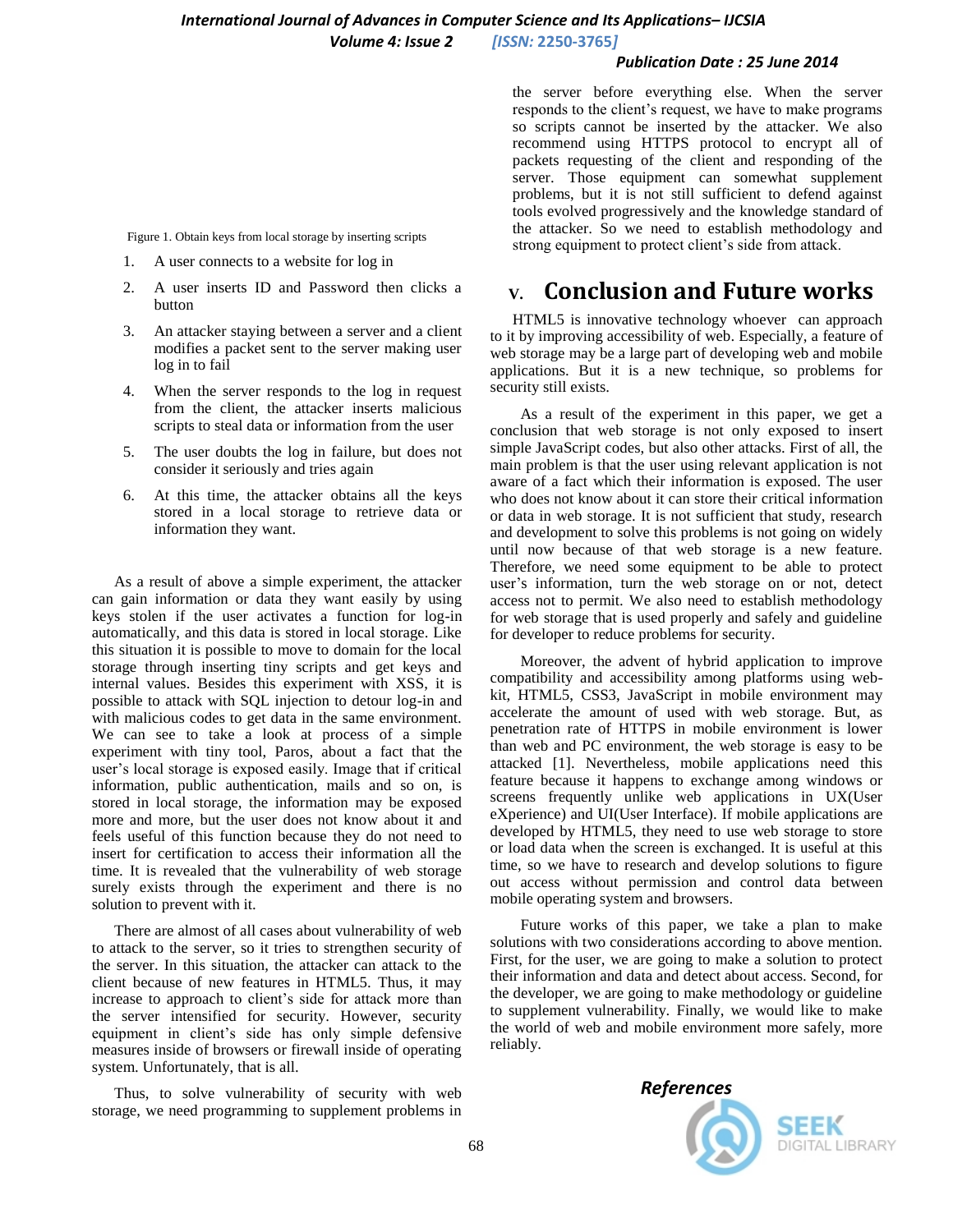#### *Publication Date : 25 June 2014*

Figure 1. Obtain keys from local storage by inserting scripts

- 1. A user connects to a website for log in
- 2. A user inserts ID and Password then clicks a button
- 3. An attacker staying between a server and a client modifies a packet sent to the server making user log in to fail
- 4. When the server responds to the log in request from the client, the attacker inserts malicious scripts to steal data or information from the user
- 5. The user doubts the log in failure, but does not consider it seriously and tries again
- 6. At this time, the attacker obtains all the keys stored in a local storage to retrieve data or information they want.

As a result of above a simple experiment, the attacker can gain information or data they want easily by using keys stolen if the user activates a function for log-in automatically, and this data is stored in local storage. Like this situation it is possible to move to domain for the local storage through inserting tiny scripts and get keys and internal values. Besides this experiment with XSS, it is possible to attack with SQL injection to detour log-in and with malicious codes to get data in the same environment. We can see to take a look at process of a simple experiment with tiny tool, Paros, about a fact that the user's local storage is exposed easily. Image that if critical information, public authentication, mails and so on, is stored in local storage, the information may be exposed more and more, but the user does not know about it and feels useful of this function because they do not need to insert for certification to access their information all the time. It is revealed that the vulnerability of web storage surely exists through the experiment and there is no solution to prevent with it.

There are almost of all cases about vulnerability of web to attack to the server, so it tries to strengthen security of the server. In this situation, the attacker can attack to the client because of new features in HTML5. Thus, it may increase to approach to client's side for attack more than the server intensified for security. However, security equipment in client's side has only simple defensive measures inside of browsers or firewall inside of operating system. Unfortunately, that is all.

Thus, to solve vulnerability of security with web storage, we need programming to supplement problems in

the server before everything else. When the server responds to the client's request, we have to make programs so scripts cannot be inserted by the attacker. We also recommend using HTTPS protocol to encrypt all of packets requesting of the client and responding of the server. Those equipment can somewhat supplement problems, but it is not still sufficient to defend against tools evolved progressively and the knowledge standard of the attacker. So we need to establish methodology and strong equipment to protect client's side from attack.

#### **V. Conclusion and Future works**

HTML5 is innovative technology whoever can approach to it by improving accessibility of web. Especially, a feature of web storage may be a large part of developing web and mobile applications. But it is a new technique, so problems for security still exists.

 As a result of the experiment in this paper, we get a conclusion that web storage is not only exposed to insert simple JavaScript codes, but also other attacks. First of all, the main problem is that the user using relevant application is not aware of a fact which their information is exposed. The user who does not know about it can store their critical information or data in web storage. It is not sufficient that study, research and development to solve this problems is not going on widely until now because of that web storage is a new feature. Therefore, we need some equipment to be able to protect user's information, turn the web storage on or not, detect access not to permit. We also need to establish methodology for web storage that is used properly and safely and guideline for developer to reduce problems for security.

 Moreover, the advent of hybrid application to improve compatibility and accessibility among platforms using webkit, HTML5, CSS3, JavaScript in mobile environment may accelerate the amount of used with web storage. But, as penetration rate of HTTPS in mobile environment is lower than web and PC environment, the web storage is easy to be attacked [1]. Nevertheless, mobile applications need this feature because it happens to exchange among windows or screens frequently unlike web applications in UX(User eXperience) and UI(User Interface). If mobile applications are developed by HTML5, they need to use web storage to store or load data when the screen is exchanged. It is useful at this time, so we have to research and develop solutions to figure out access without permission and control data between mobile operating system and browsers.

 Future works of this paper, we take a plan to make solutions with two considerations according to above mention. First, for the user, we are going to make a solution to protect their information and data and detect about access. Second, for the developer, we are going to make methodology or guideline to supplement vulnerability. Finally, we would like to make the world of web and mobile environment more safely, more reliably.